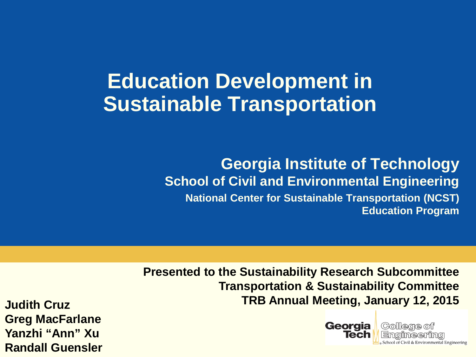#### **Education Development in Sustainable Transportation**

#### **Georgia Institute of Technology School of Civil and Environmental Engineering National Center for Sustainable Transportation (NCST) Education Program**

**Presented to the Sustainability Research Subcommittee Transportation & Sustainability Committee TRB Annual Meeting, January 12, 2015**

**Judith Cruz Greg MacFarlane Yanzhi "Ann" Xu Randall Guensler**



College of Emaimeerina School of Civil & Environmental Engineering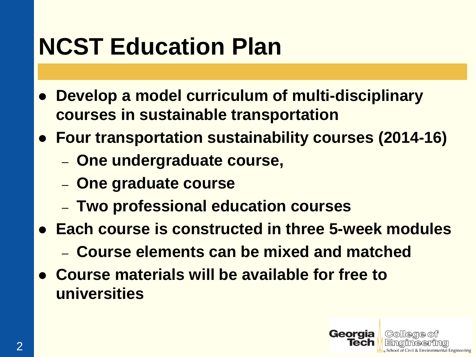#### **NCST Education Plan**

- **Develop a model curriculum of multi-disciplinary courses in sustainable transportation**
- **Four transportation sustainability courses (2014-16)**
	- **One undergraduate course,**
	- **One graduate course**
	- **Two professional education courses**
- **Each course is constructed in three 5-week modules** 
	- **Course elements can be mixed and matched**
- **Course materials will be available for free to universities**

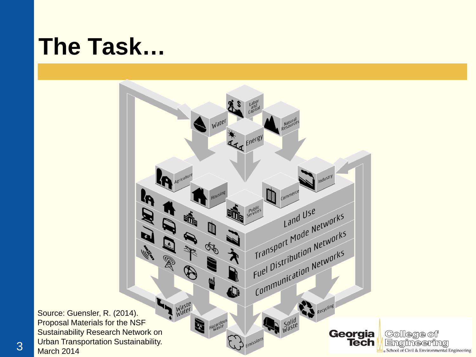#### **The Task…**

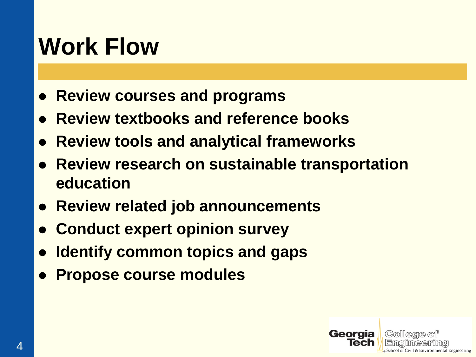#### **Work Flow**

- **Review courses and programs**
- **Review textbooks and reference books**
- **Review tools and analytical frameworks**
- **Review research on sustainable transportation education**
- **Review related job announcements**
- **Conduct expert opinion survey**
- **Identify common topics and gaps**
- **Propose course modules**

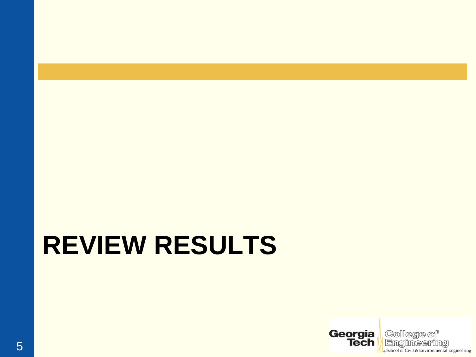# **REVIEW RESULTS**

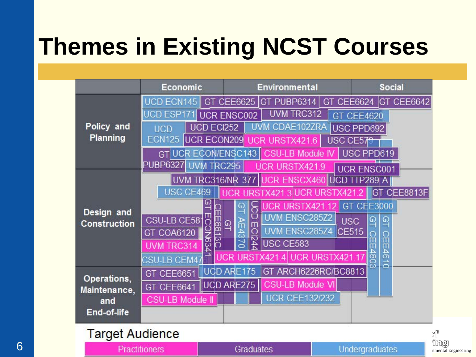## **Themes in Existing NCST Courses**

|                                                   | <b>Economic</b>                                                                   | Environmental                                    | <b>Social</b>     |  |  |
|---------------------------------------------------|-----------------------------------------------------------------------------------|--------------------------------------------------|-------------------|--|--|
| Policy and<br>Planning                            | UCD ECN145                                                                        | GT PUBP6314<br>GT CEE6624<br>GT CEE6625          | <b>GT CEE6642</b> |  |  |
|                                                   | UCD ESP171                                                                        | UVM TRC312<br><b>UCR ENSC002</b>                 | GT CEE4620        |  |  |
|                                                   | UCD ECI252<br><b>UCD</b>                                                          | UVM CDAE102ZRA                                   | USC PPD692        |  |  |
|                                                   | <b>ECN125</b><br>UCR ECON209                                                      | UCR URSTX421.6<br>USC CE579                      |                   |  |  |
|                                                   | UCR ECON/ENSC143<br>GT                                                            | <b>CSU-LB Module</b>                             | USC PPD619        |  |  |
|                                                   | PUBP6327<br><b>UVM TRC295</b><br>UCR URSTX421.9<br><b>UCR ENSC001</b>             |                                                  |                   |  |  |
| Design and<br><b>Construction</b>                 | UVM TRC316/NR 377 UCR ENSCX460<br><b>P289 A</b><br><b>IUCD</b>                    |                                                  |                   |  |  |
|                                                   | USC CE469                                                                         | UCR URSTX421.3 UCR URSTX421                      | GT CEE8813F       |  |  |
|                                                   |                                                                                   | URSTX421                                         | GT CEE3000        |  |  |
|                                                   | CSU-LB CE581                                                                      | UVM ENSC285Z2<br><b>USC</b><br>$\mathbf{\Omega}$ | $\Omega$          |  |  |
|                                                   | GT COA6120                                                                        | AE43<br>ECI244<br>UVM ENSC285Z4<br>CE515         |                   |  |  |
|                                                   | <b>NS34</b><br>UVM TRC314                                                         | USC CE583                                        |                   |  |  |
|                                                   | 46<br>4803<br>URSTX421<br>UCR URSTX421.17<br>CSU-LB CEM47<br>$\overrightarrow{a}$ |                                                  |                   |  |  |
| Operations,<br>Maintenance,<br>and<br>End-of-life | GT CEE6651                                                                        | <b>UCD ARE175</b><br>GT ARCH6226RC/BC8813        |                   |  |  |
|                                                   | GT CEE6641                                                                        | <b>CSU-LB Module VI</b><br>UCD ARE275            |                   |  |  |
|                                                   | <b>CSU-LB Module II</b>                                                           | <b>UCR CEE132/232</b>                            |                   |  |  |
|                                                   |                                                                                   |                                                  |                   |  |  |
|                                                   |                                                                                   |                                                  |                   |  |  |

| <b>Target Audience</b> |           |                |                              |  |
|------------------------|-----------|----------------|------------------------------|--|
| <b>Practitioners</b>   | Graduates | Undergraduates | 'ing)<br>nmental Engineering |  |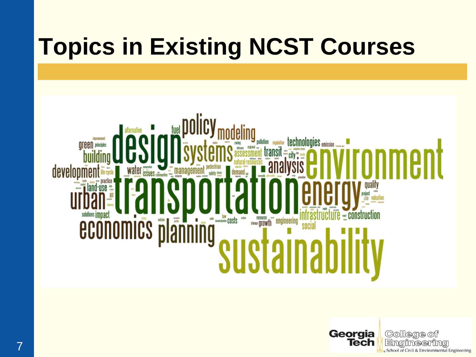## **Topics in Existing NCST Courses**



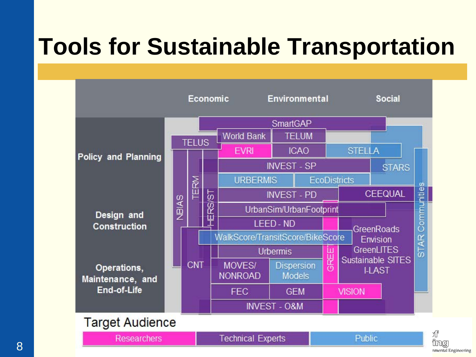### **Tools for Sustainable Transportation**

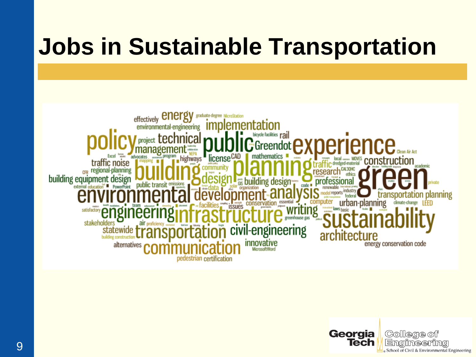#### **Jobs in Sustainable Transportation**



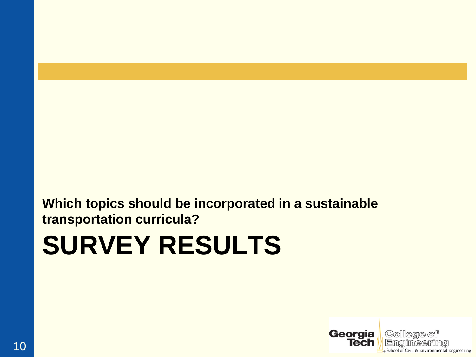#### **Which topics should be incorporated in a sustainable transportation curricula?**

# **SURVEY RESULTS**

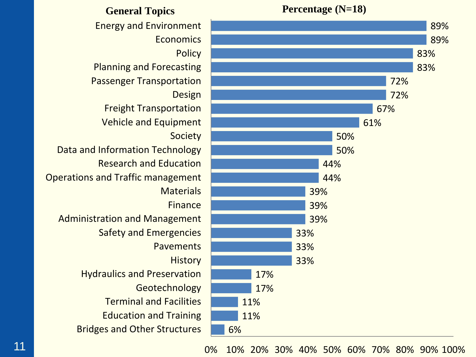

Education and Training Terminal and Facilities Geotechnology Hydraulics and Preservation Safety and Emergencies Administration and Management Operations and Traffic management Research and Education Data and Information Technology Vehicle and Equipment Freight Transportation Passenger Transportation Planning and Forecasting Energy and Environment

0% 10% 20% 30% 40% 50% 60% 70% 80% 90% 100%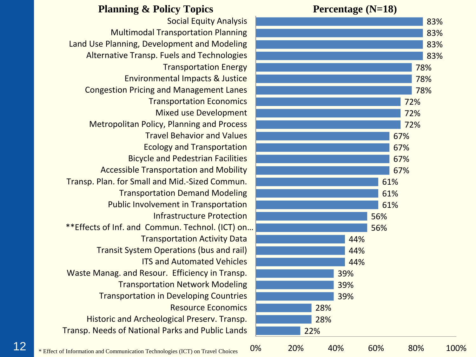#### **Planning & Policy Topics Percentage (N=18)**

Transp. Needs of National Parks and Public Lands Historic and Archeological Preserv. Transp. Resource Economics Transportation in Developing Countries Transportation Network Modeling Waste Manag. and Resour. Efficiency in Transp. ITS and Automated Vehicles Transit System Operations (bus and rail) Transportation Activity Data \*\*Effects of Inf. and Commun. Technol. (ICT) on… Infrastructure Protection Public Involvement in Transportation Transportation Demand Modeling Transp. Plan. for Small and Mid.-Sized Commun. Accessible Transportation and Mobility Bicycle and Pedestrian Facilities Ecology and Transportation Travel Behavior and Values Metropolitan Policy, Planning and Process Mixed use Development Transportation Economics Congestion Pricing and Management Lanes Environmental Impacts & Justice Transportation Energy Alternative Transp. Fuels and Technologies Land Use Planning, Development and Modeling Multimodal Transportation Planning Social Equity Analysis

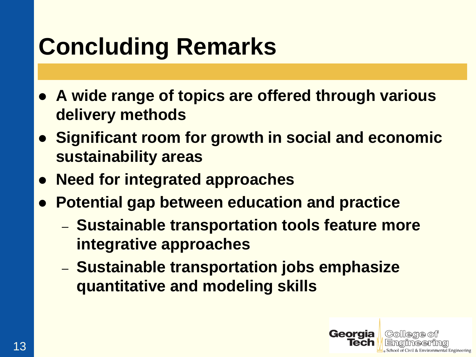## **Concluding Remarks**

- **A wide range of topics are offered through various delivery methods**
- **Significant room for growth in social and economic sustainability areas**
- **Need for integrated approaches**
- **Potential gap between education and practice**
	- **Sustainable transportation tools feature more integrative approaches**
	- **Sustainable transportation jobs emphasize quantitative and modeling skills**

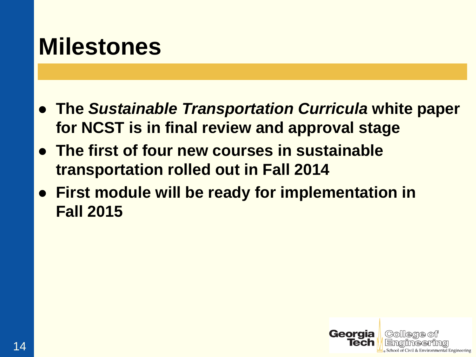#### **Milestones**

- **The** *Sustainable Transportation Curricula* **white paper for NCST is in final review and approval stage**
- **The first of four new courses in sustainable transportation rolled out in Fall 2014**
- **First module will be ready for implementation in Fall 2015**